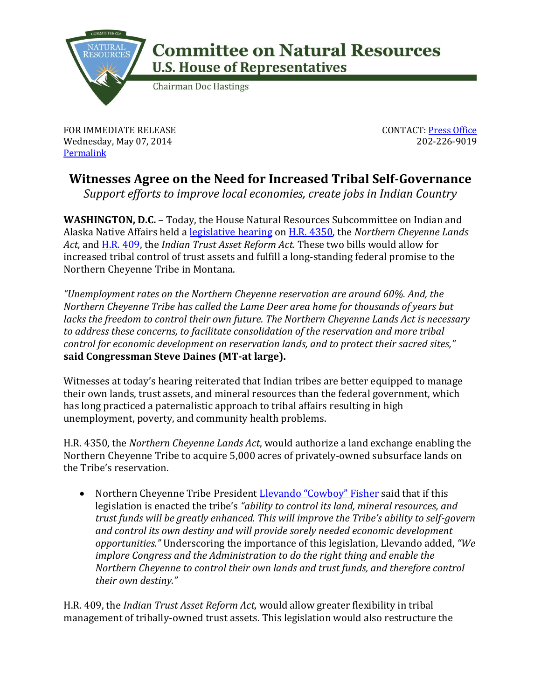

## **Committee on Natural Resources U.S. House of Representatives**

**Chairman Doc Hastings** 

FOR IMMEDIATE RELEASE Wednesday, May 07, 2014 **[Permalink](http://naturalresources.house.gov/news/documentsingle.aspx?DocumentID=379222)** 

CONTACT: [Press Office](http://naturalresources.house.gov/contact/media.htm) 202-226-9019

## **Witnesses Agree on the Need for Increased Tribal Self-Governance**

*Support efforts to improve local economies, create jobs in Indian Country*

**WASHINGTON, D.C.** – Today, the House Natural Resources Subcommittee on Indian and Alaska Native Affairs held a [legislative](http://naturalresources.house.gov/calendar/eventsingle.aspx?EventID=378221) hearing on [H.R. 4350,](http://thomas.loc.gov/home/gpoxmlc113/h4350_ih.xml) the *Northern Cheyenne Lands Act,* and [H.R. 409,](http://thomas.loc.gov/home/gpoxmlc113/h409_ih.xml) the *Indian Trust Asset Reform Act.* These two bills would allow for increased tribal control of trust assets and fulfill a long-standing federal promise to the Northern Cheyenne Tribe in Montana.

*"Unemployment rates on the Northern Cheyenne reservation are around 60%. And, the Northern Cheyenne Tribe has called the Lame Deer area home for thousands of years but lacks the freedom to control their own future. The Northern Cheyenne Lands Act is necessary to address these concerns, to facilitate consolidation of the reservation and more tribal control for economic development on reservation lands, and to protect their sacred sites,"* **said Congressman Steve Daines (MT-at large).**

Witnesses at today's hearing reiterated that Indian tribes are better equipped to manage their own lands, trust assets, and mineral resources than the federal government, which has long practiced a paternalistic approach to tribal affairs resulting in high unemployment, poverty, and community health problems.

H.R. 4350, the *Northern Cheyenne Lands Act*, would authorize a land exchange enabling the Northern Cheyenne Tribe to acquire 5,000 acres of privately-owned subsurface lands on the Tribe's reservation.

• Northern Chevenne Tribe President [Llevando "Cowboy" Fisher](http://naturalresources.house.gov/uploadedfiles/fishertestimony5-7-14.pdf) said that if this legislation is enacted the tribe's *"ability to control its land, mineral resources, and trust funds will be greatly enhanced. This will improve the Tribe's ability to self-govern and control its own destiny and will provide sorely needed economic development opportunities."* Underscoring the importance of this legislation, Llevando added, *"We implore Congress and the Administration to do the right thing and enable the Northern Cheyenne to control their own lands and trust funds, and therefore control their own destiny."*

H.R. 409, the *Indian Trust Asset Reform Act,* would allow greater flexibility in tribal management of tribally-owned trust assets. This legislation would also restructure the